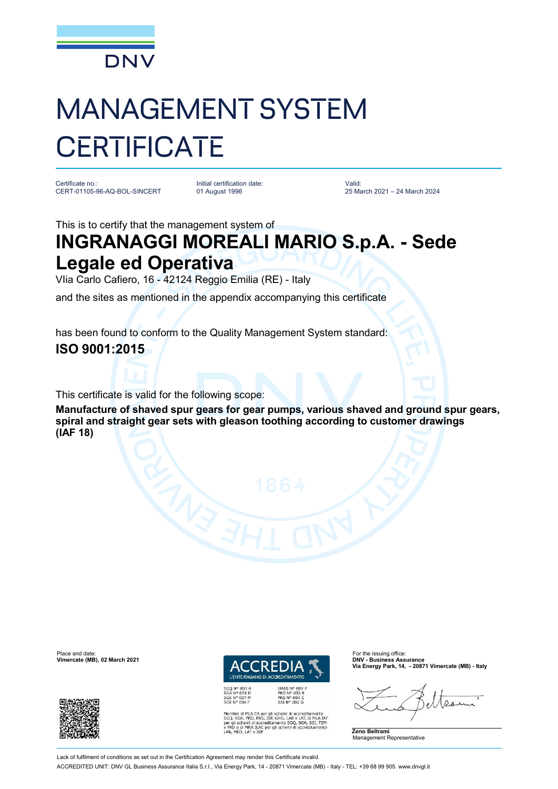

## MANAGEMENT SYSTEM **CERTIFICATE**

Certificate no.: CERT-01105-96-AQ-BOL-SINCERT

Initial certification date: 01 August 1996

Valid: 25 March 2021 – 24 March 2024

This is to certify that the management system of

## **INGRANAGGI MOREALI MARIO S.p.A. - Sede Legale ed Operativa**

VIia Carlo Cafiero, 16 - 42124 Reggio Emilia (RE) - Italy

and the sites as mentioned in the appendix accompanying this certificate

has been found to conform to the Quality Management System standard: **ISO 9001:2015**

This certificate is valid for the following scope:

**Manufacture of shaved spur gears for gear pumps, various shaved and ground spur gears, spiral and straight gear sets with gleason toothing according to customer drawings (IAF 18)**



MLA EA per gli schemi di accreditamento<br>PRD, PRS, ISP, GHG, LAB e LAT, di MLA IAF<br>emi di accreditamento SGQ, SGA, SSI, FSM<br>MRA ILAC per gli schemi di accreditamento e PRD e di MRA ILAC per<br>LAB, MED, LAT e ISP

**Via Energy Park, 14, - 20871 Vimercate (MB) - Italy**



Place and date: For the issuing office:<br> **Place and date:** For the issuing office: For the issuing office: For the issuing office:<br> **Place and Contract Contract Contract Contract Contract Contract Contract Contract Contrac Vimercate (MB), 02 March 2021** 



Lack of fulfilment of conditions as set out in the Certification Agreement may render this Certificate invalid

ACCREDITED UNIT: DNV GL Business Assurance Italia S.r.l., Via Energy Park, 14 - 20871 Vimercate (MB) - Italy - TEL: +39 68 99 905. [www.dnvgl.it](http://www.dnvgl.it)